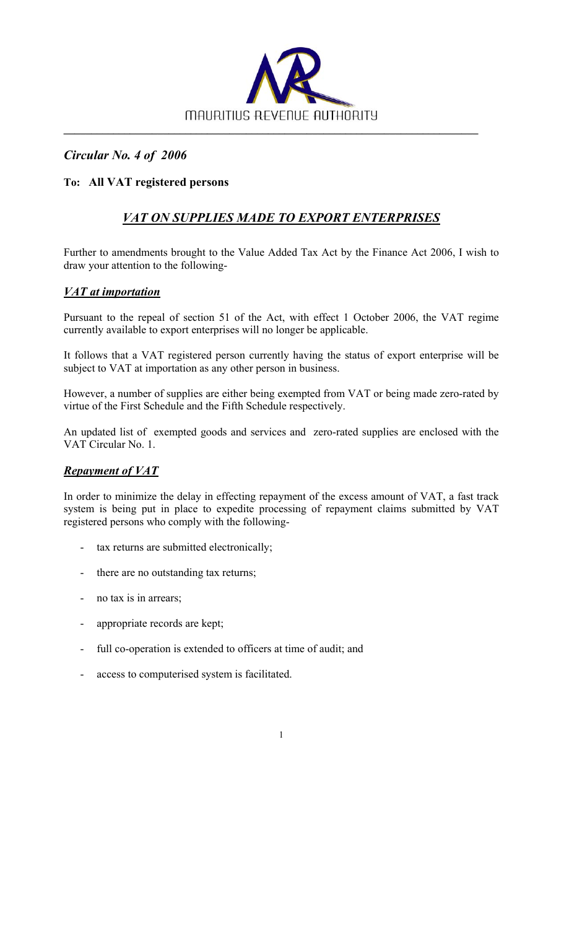

## *Circular No. 4 of 2006*

### **To: All VAT registered persons**

# *VAT ON SUPPLIES MADE TO EXPORT ENTERPRISES*

Further to amendments brought to the Value Added Tax Act by the Finance Act 2006, I wish to draw your attention to the following-

### *VAT at importation*

Pursuant to the repeal of section 51 of the Act, with effect 1 October 2006, the VAT regime currently available to export enterprises will no longer be applicable.

It follows that a VAT registered person currently having the status of export enterprise will be subject to VAT at importation as any other person in business.

However, a number of supplies are either being exempted from VAT or being made zero-rated by virtue of the First Schedule and the Fifth Schedule respectively.

An updated list of exempted goods and services and zero-rated supplies are enclosed with the VAT Circular No. 1.

#### *Repayment of VAT*

In order to minimize the delay in effecting repayment of the excess amount of VAT, a fast track system is being put in place to expedite processing of repayment claims submitted by VAT registered persons who comply with the following-

1

- tax returns are submitted electronically;
- there are no outstanding tax returns;
- no tax is in arrears;
- appropriate records are kept;
- full co-operation is extended to officers at time of audit; and
- access to computerised system is facilitated.